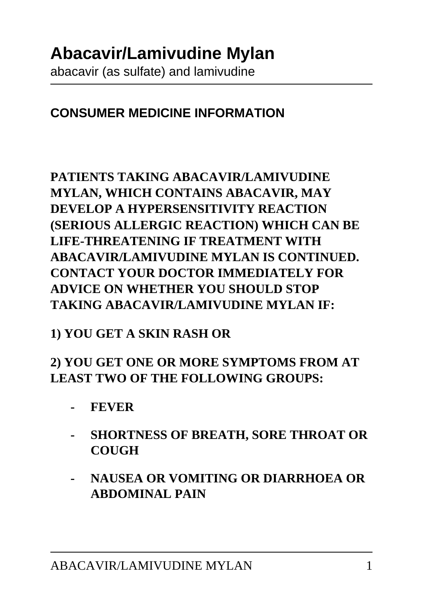#### **CONSUMER MEDICINE INFORMATION**

#### **PATIENTS TAKING ABACAVIR/LAMIVUDINE MYLAN, WHICH CONTAINS ABACAVIR, MAY DEVELOP A HYPERSENSITIVITY REACTION (SERIOUS ALLERGIC REACTION) WHICH CAN BE LIFE-THREATENING IF TREATMENT WITH ABACAVIR/LAMIVUDINE MYLAN IS CONTINUED. CONTACT YOUR DOCTOR IMMEDIATELY FOR ADVICE ON WHETHER YOU SHOULD STOP TAKING ABACAVIR/LAMIVUDINE MYLAN IF:**

#### **1) YOU GET A SKIN RASH OR**

#### **2) YOU GET ONE OR MORE SYMPTOMS FROM AT LEAST TWO OF THE FOLLOWING GROUPS:**

- **FEVER**
- **SHORTNESS OF BREATH, SORE THROAT OR COUGH**
- **NAUSEA OR VOMITING OR DIARRHOEA OR ABDOMINAL PAIN**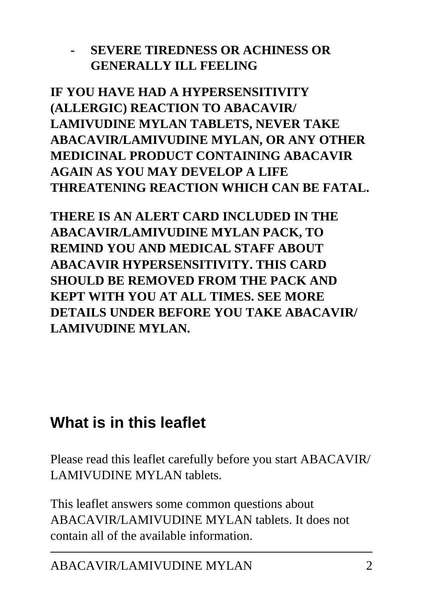#### **- SEVERE TIREDNESS OR ACHINESS OR GENERALLY ILL FEELING**

**IF YOU HAVE HAD A HYPERSENSITIVITY (ALLERGIC) REACTION TO ABACAVIR/ LAMIVUDINE MYLAN TABLETS, NEVER TAKE ABACAVIR/LAMIVUDINE MYLAN, OR ANY OTHER MEDICINAL PRODUCT CONTAINING ABACAVIR AGAIN AS YOU MAY DEVELOP A LIFE THREATENING REACTION WHICH CAN BE FATAL.**

**THERE IS AN ALERT CARD INCLUDED IN THE ABACAVIR/LAMIVUDINE MYLAN PACK, TO REMIND YOU AND MEDICAL STAFF ABOUT ABACAVIR HYPERSENSITIVITY. THIS CARD SHOULD BE REMOVED FROM THE PACK AND KEPT WITH YOU AT ALL TIMES. SEE MORE DETAILS UNDER BEFORE YOU TAKE ABACAVIR/ LAMIVUDINE MYLAN.**

### **What is in this leaflet**

Please read this leaflet carefully before you start ABACAVIR/ LAMIVUDINE MYLAN tablets.

This leaflet answers some common questions about ABACAVIR/LAMIVUDINE MYLAN tablets. It does not contain all of the available information.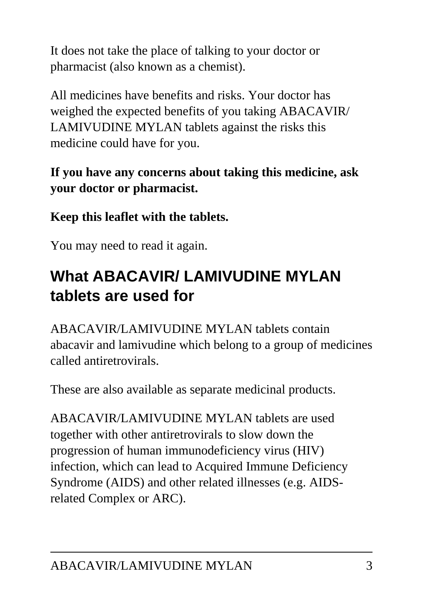It does not take the place of talking to your doctor or pharmacist (also known as a chemist).

All medicines have benefits and risks. Your doctor has weighed the expected benefits of you taking ABACAVIR/ LAMIVUDINE MYLAN tablets against the risks this medicine could have for you.

### **If you have any concerns about taking this medicine, ask your doctor or pharmacist.**

**Keep this leaflet with the tablets.**

You may need to read it again.

# **What ABACAVIR/ LAMIVUDINE MYLAN tablets are used for**

ABACAVIR/LAMIVUDINE MYLAN tablets contain abacavir and lamivudine which belong to a group of medicines called antiretrovirals.

These are also available as separate medicinal products.

ABACAVIR/LAMIVUDINE MYLAN tablets are used together with other antiretrovirals to slow down the progression of human immunodeficiency virus (HIV) infection, which can lead to Acquired Immune Deficiency Syndrome (AIDS) and other related illnesses (e.g. AIDSrelated Complex or ARC).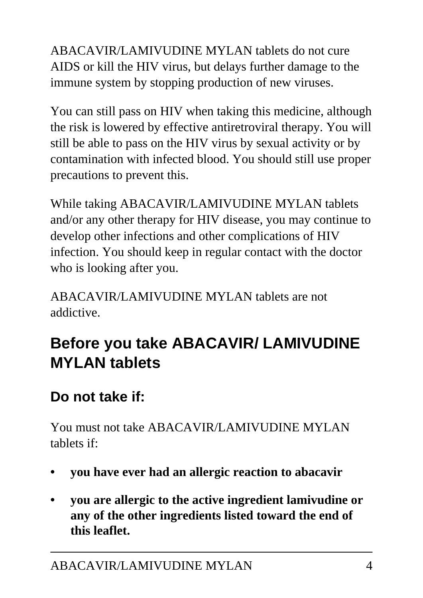ABACAVIR/LAMIVUDINE MYLAN tablets do not cure AIDS or kill the HIV virus, but delays further damage to the immune system by stopping production of new viruses.

You can still pass on HIV when taking this medicine, although the risk is lowered by effective antiretroviral therapy. You will still be able to pass on the HIV virus by sexual activity or by contamination with infected blood. You should still use proper precautions to prevent this.

While taking ABACAVIR/LAMIVUDINE MYLAN tablets and/or any other therapy for HIV disease, you may continue to develop other infections and other complications of HIV infection. You should keep in regular contact with the doctor who is looking after you.

ABACAVIR/LAMIVUDINE MYLAN tablets are not addictive.

# **Before you take ABACAVIR/ LAMIVUDINE MYLAN tablets**

### **Do not take if:**

You must not take ABACAVIR/LAMIVUDINE MYLAN tablets if:

- **you have ever had an allergic reaction to abacavir**
- **you are allergic to the active ingredient lamivudine or any of the other ingredients listed toward the end of this leaflet.**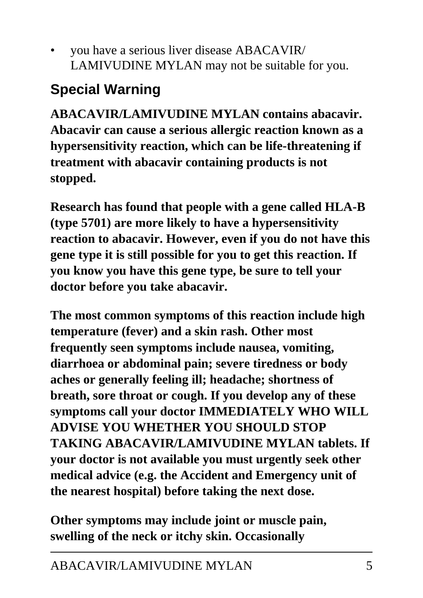• you have a serious liver disease ABACAVIR/ LAMIVUDINE MYLAN may not be suitable for you.

# **Special Warning**

**ABACAVIR/LAMIVUDINE MYLAN contains abacavir. Abacavir can cause a serious allergic reaction known as a hypersensitivity reaction, which can be life-threatening if treatment with abacavir containing products is not stopped.**

**Research has found that people with a gene called HLA-B (type 5701) are more likely to have a hypersensitivity reaction to abacavir. However, even if you do not have this gene type it is still possible for you to get this reaction. If you know you have this gene type, be sure to tell your doctor before you take abacavir.**

**The most common symptoms of this reaction include high temperature (fever) and a skin rash. Other most frequently seen symptoms include nausea, vomiting, diarrhoea or abdominal pain; severe tiredness or body aches or generally feeling ill; headache; shortness of breath, sore throat or cough. If you develop any of these symptoms call your doctor IMMEDIATELY WHO WILL ADVISE YOU WHETHER YOU SHOULD STOP TAKING ABACAVIR/LAMIVUDINE MYLAN tablets. If your doctor is not available you must urgently seek other medical advice (e.g. the Accident and Emergency unit of the nearest hospital) before taking the next dose.**

**Other symptoms may include joint or muscle pain, swelling of the neck or itchy skin. Occasionally**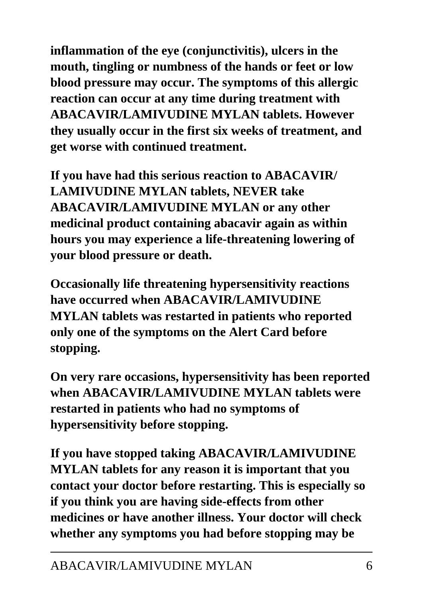**inflammation of the eye (conjunctivitis), ulcers in the mouth, tingling or numbness of the hands or feet or low blood pressure may occur. The symptoms of this allergic reaction can occur at any time during treatment with ABACAVIR/LAMIVUDINE MYLAN tablets. However they usually occur in the first six weeks of treatment, and get worse with continued treatment.**

**If you have had this serious reaction to ABACAVIR/ LAMIVUDINE MYLAN tablets, NEVER take ABACAVIR/LAMIVUDINE MYLAN or any other medicinal product containing abacavir again as within hours you may experience a life-threatening lowering of your blood pressure or death.**

**Occasionally life threatening hypersensitivity reactions have occurred when ABACAVIR/LAMIVUDINE MYLAN tablets was restarted in patients who reported only one of the symptoms on the Alert Card before stopping.**

**On very rare occasions, hypersensitivity has been reported when ABACAVIR/LAMIVUDINE MYLAN tablets were restarted in patients who had no symptoms of hypersensitivity before stopping.**

**If you have stopped taking ABACAVIR/LAMIVUDINE MYLAN tablets for any reason it is important that you contact your doctor before restarting. This is especially so if you think you are having side-effects from other medicines or have another illness. Your doctor will check whether any symptoms you had before stopping may be**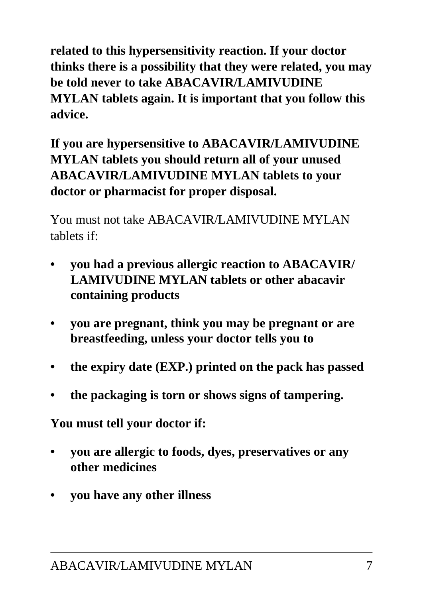**related to this hypersensitivity reaction. If your doctor thinks there is a possibility that they were related, you may be told never to take ABACAVIR/LAMIVUDINE MYLAN tablets again. It is important that you follow this advice.**

**If you are hypersensitive to ABACAVIR/LAMIVUDINE MYLAN tablets you should return all of your unused ABACAVIR/LAMIVUDINE MYLAN tablets to your doctor or pharmacist for proper disposal.**

You must not take ABACAVIR/LAMIVUDINE MYLAN tablets if:

- **you had a previous allergic reaction to ABACAVIR/ LAMIVUDINE MYLAN tablets or other abacavir containing products**
- **you are pregnant, think you may be pregnant or are breastfeeding, unless your doctor tells you to**
- **the expiry date (EXP.) printed on the pack has passed**
- **the packaging is torn or shows signs of tampering.**

**You must tell your doctor if:**

- **you are allergic to foods, dyes, preservatives or any other medicines**
- **you have any other illness**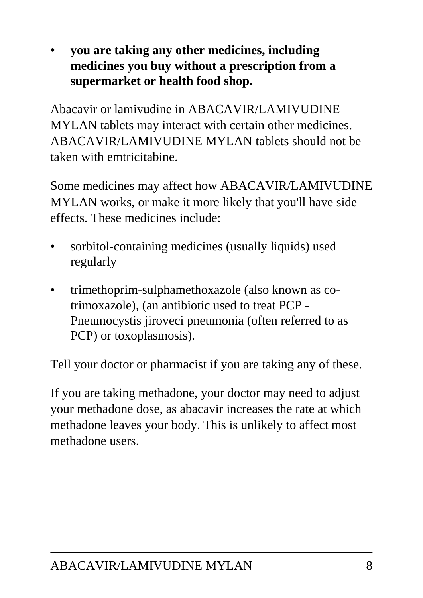**• you are taking any other medicines, including medicines you buy without a prescription from a supermarket or health food shop.**

Abacavir or lamivudine in ABACAVIR/LAMIVUDINE MYLAN tablets may interact with certain other medicines. ABACAVIR/LAMIVUDINE MYLAN tablets should not be taken with emtricitabine.

Some medicines may affect how ABACAVIR/LAMIVUDINE MYLAN works, or make it more likely that you'll have side effects. These medicines include:

- sorbitol-containing medicines (usually liquids) used regularly
- trimethoprim-sulphamethoxazole (also known as cotrimoxazole), (an antibiotic used to treat PCP - Pneumocystis jiroveci pneumonia (often referred to as PCP) or toxoplasmosis).

Tell your doctor or pharmacist if you are taking any of these.

If you are taking methadone, your doctor may need to adjust your methadone dose, as abacavir increases the rate at which methadone leaves your body. This is unlikely to affect most methadone users.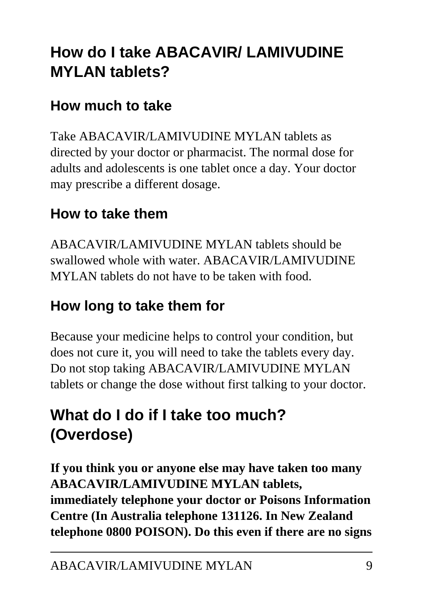# **How do I take ABACAVIR/ LAMIVUDINE MYLAN tablets?**

### **How much to take**

Take ABACAVIR/LAMIVUDINE MYLAN tablets as directed by your doctor or pharmacist. The normal dose for adults and adolescents is one tablet once a day. Your doctor may prescribe a different dosage.

### **How to take them**

ABACAVIR/LAMIVUDINE MYLAN tablets should be swallowed whole with water. ABACAVIR/LAMIVUDINE MYLAN tablets do not have to be taken with food.

### **How long to take them for**

Because your medicine helps to control your condition, but does not cure it, you will need to take the tablets every day. Do not stop taking ABACAVIR/LAMIVUDINE MYLAN tablets or change the dose without first talking to your doctor.

# **What do I do if I take too much? (Overdose)**

**If you think you or anyone else may have taken too many ABACAVIR/LAMIVUDINE MYLAN tablets, immediately telephone your doctor or Poisons Information Centre (In Australia telephone 131126. In New Zealand telephone 0800 POISON). Do this even if there are no signs**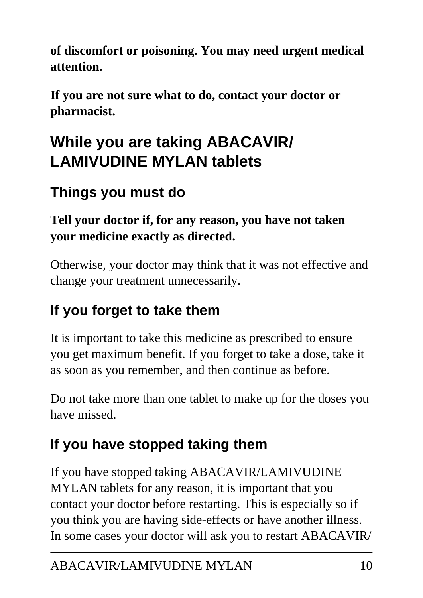**of discomfort or poisoning. You may need urgent medical attention.**

**If you are not sure what to do, contact your doctor or pharmacist.**

# **While you are taking ABACAVIR/ LAMIVUDINE MYLAN tablets**

## **Things you must do**

### **Tell your doctor if, for any reason, you have not taken your medicine exactly as directed.**

Otherwise, your doctor may think that it was not effective and change your treatment unnecessarily.

# **If you forget to take them**

It is important to take this medicine as prescribed to ensure you get maximum benefit. If you forget to take a dose, take it as soon as you remember, and then continue as before.

Do not take more than one tablet to make up for the doses you have missed.

# **If you have stopped taking them**

If you have stopped taking ABACAVIR/LAMIVUDINE MYLAN tablets for any reason, it is important that you contact your doctor before restarting. This is especially so if you think you are having side-effects or have another illness. In some cases your doctor will ask you to restart ABACAVIR/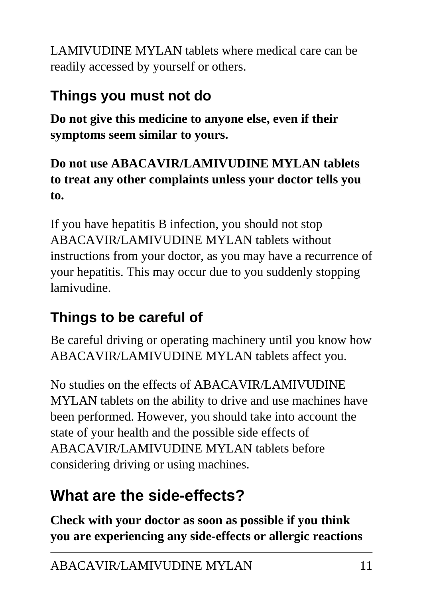LAMIVUDINE MYLAN tablets where medical care can be readily accessed by yourself or others.

## **Things you must not do**

**Do not give this medicine to anyone else, even if their symptoms seem similar to yours.**

**Do not use ABACAVIR/LAMIVUDINE MYLAN tablets to treat any other complaints unless your doctor tells you to.**

If you have hepatitis B infection, you should not stop ABACAVIR/LAMIVUDINE MYLAN tablets without instructions from your doctor, as you may have a recurrence of your hepatitis. This may occur due to you suddenly stopping lamivudine.

### **Things to be careful of**

Be careful driving or operating machinery until you know how ABACAVIR/LAMIVUDINE MYLAN tablets affect you.

No studies on the effects of ABACAVIR/LAMIVUDINE MYLAN tablets on the ability to drive and use machines have been performed. However, you should take into account the state of your health and the possible side effects of ABACAVIR/LAMIVUDINE MYLAN tablets before considering driving or using machines.

# **What are the side-effects?**

**Check with your doctor as soon as possible if you think you are experiencing any side-effects or allergic reactions**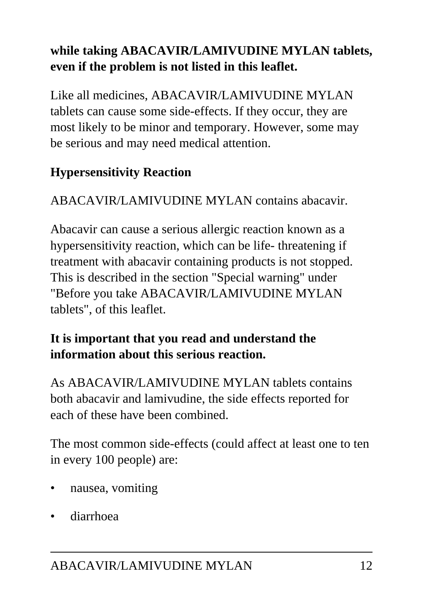### **while taking ABACAVIR/LAMIVUDINE MYLAN tablets, even if the problem is not listed in this leaflet.**

Like all medicines, ABACAVIR/LAMIVUDINE MYLAN tablets can cause some side-effects. If they occur, they are most likely to be minor and temporary. However, some may be serious and may need medical attention.

### **Hypersensitivity Reaction**

ABACAVIR/LAMIVUDINE MYLAN contains abacavir.

Abacavir can cause a serious allergic reaction known as a hypersensitivity reaction, which can be life- threatening if treatment with abacavir containing products is not stopped. This is described in the section "Special warning" under "Before you take ABACAVIR/LAMIVUDINE MYLAN tablets", of this leaflet.

#### **It is important that you read and understand the information about this serious reaction.**

As ABACAVIR/LAMIVUDINE MYLAN tablets contains both abacavir and lamivudine, the side effects reported for each of these have been combined.

The most common side-effects (could affect at least one to ten in every 100 people) are:

- nausea, vomiting
- diarrhoea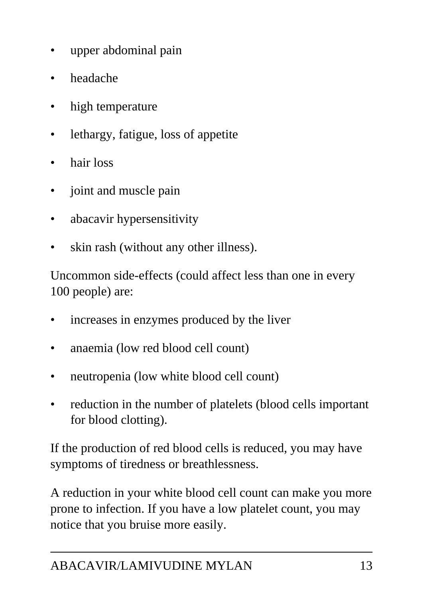- upper abdominal pain
- headache
- high temperature
- lethargy, fatigue, loss of appetite
- hair loss
- joint and muscle pain
- abacavir hypersensitivity
- skin rash (without any other illness).

Uncommon side-effects (could affect less than one in every 100 people) are:

- increases in enzymes produced by the liver
- anaemia (low red blood cell count)
- neutropenia (low white blood cell count)
- reduction in the number of platelets (blood cells important for blood clotting).

If the production of red blood cells is reduced, you may have symptoms of tiredness or breathlessness.

A reduction in your white blood cell count can make you more prone to infection. If you have a low platelet count, you may notice that you bruise more easily.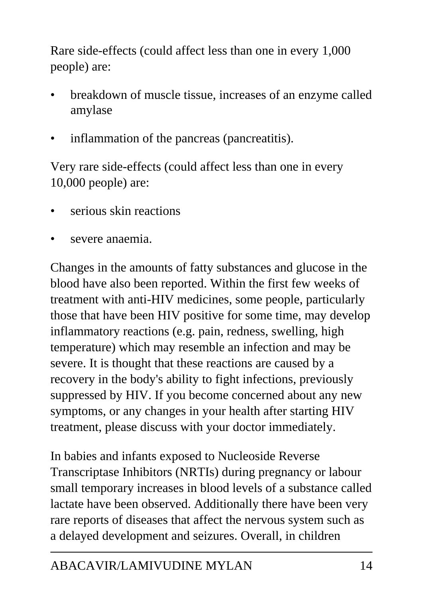Rare side-effects (could affect less than one in every 1,000 people) are:

- breakdown of muscle tissue, increases of an enzyme called amylase
- inflammation of the pancreas (pancreatitis).

Very rare side-effects (could affect less than one in every 10,000 people) are:

- serious skin reactions
- severe anaemia.

Changes in the amounts of fatty substances and glucose in the blood have also been reported. Within the first few weeks of treatment with anti-HIV medicines, some people, particularly those that have been HIV positive for some time, may develop inflammatory reactions (e.g. pain, redness, swelling, high temperature) which may resemble an infection and may be severe. It is thought that these reactions are caused by a recovery in the body's ability to fight infections, previously suppressed by HIV. If you become concerned about any new symptoms, or any changes in your health after starting HIV treatment, please discuss with your doctor immediately.

In babies and infants exposed to Nucleoside Reverse Transcriptase Inhibitors (NRTIs) during pregnancy or labour small temporary increases in blood levels of a substance called lactate have been observed. Additionally there have been very rare reports of diseases that affect the nervous system such as a delayed development and seizures. Overall, in children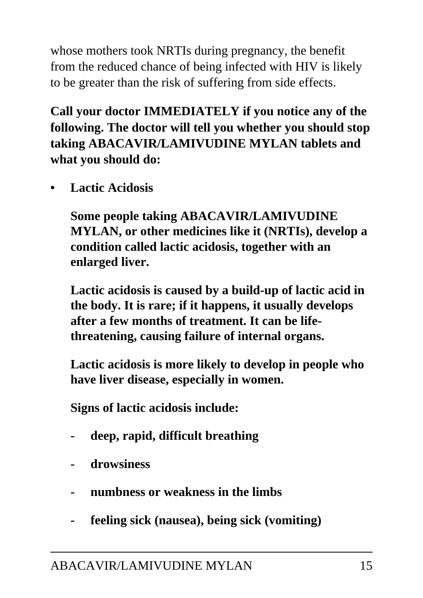whose mothers took NRTIs during pregnancy, the benefit from the reduced chance of being infected with HIV is likely to be greater than the risk of suffering from side effects.

**Call your doctor IMMEDIATELY if you notice any of the following. The doctor will tell you whether you should stop taking ABACAVIR/LAMIVUDINE MYLAN tablets and what you should do:**

**• Lactic Acidosis**

 **Some people taking ABACAVIR/LAMIVUDINE MYLAN, or other medicines like it (NRTIs), develop a condition called lactic acidosis, together with an enlarged liver.**

 **Lactic acidosis is caused by a build-up of lactic acid in the body. It is rare; if it happens, it usually develops after a few months of treatment. It can be lifethreatening, causing failure of internal organs.**

 **Lactic acidosis is more likely to develop in people who have liver disease, especially in women.**

 **Signs of lactic acidosis include:**

- **deep, rapid, difficult breathing**
- **drowsiness**
- **numbness or weakness in the limbs**
- **feeling sick (nausea), being sick (vomiting)**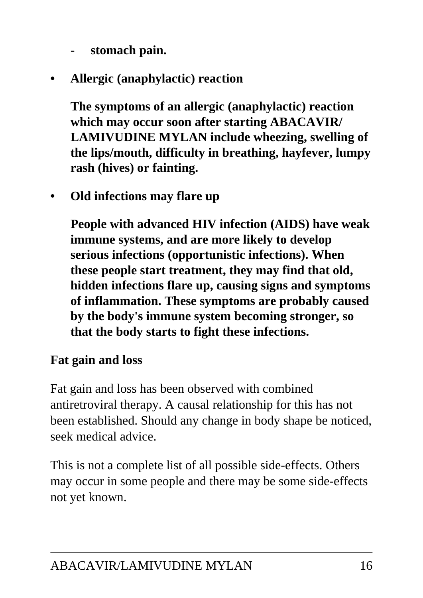- **stomach pain.**
- **Allergic (anaphylactic) reaction**

 **The symptoms of an allergic (anaphylactic) reaction which may occur soon after starting ABACAVIR/ LAMIVUDINE MYLAN include wheezing, swelling of the lips/mouth, difficulty in breathing, hayfever, lumpy rash (hives) or fainting.**

**• Old infections may flare up**

 **People with advanced HIV infection (AIDS) have weak immune systems, and are more likely to develop serious infections (opportunistic infections). When these people start treatment, they may find that old, hidden infections flare up, causing signs and symptoms of inflammation. These symptoms are probably caused by the body's immune system becoming stronger, so that the body starts to fight these infections.**

#### **Fat gain and loss**

Fat gain and loss has been observed with combined antiretroviral therapy. A causal relationship for this has not been established. Should any change in body shape be noticed, seek medical advice.

This is not a complete list of all possible side-effects. Others may occur in some people and there may be some side-effects not yet known.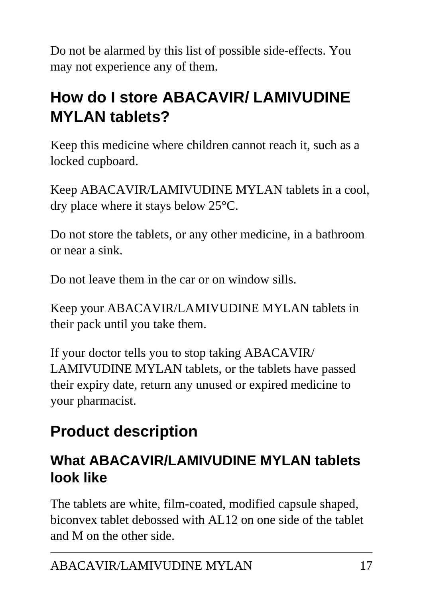Do not be alarmed by this list of possible side-effects. You may not experience any of them.

# **How do I store ABACAVIR/ LAMIVUDINE MYLAN tablets?**

Keep this medicine where children cannot reach it, such as a locked cupboard.

Keep ABACAVIR/LAMIVUDINE MYLAN tablets in a cool, dry place where it stays below 25°C.

Do not store the tablets, or any other medicine, in a bathroom or near a sink.

Do not leave them in the car or on window sills.

Keep your ABACAVIR/LAMIVUDINE MYLAN tablets in their pack until you take them.

If your doctor tells you to stop taking ABACAVIR/ LAMIVUDINE MYLAN tablets, or the tablets have passed their expiry date, return any unused or expired medicine to your pharmacist.

# **Product description**

### **What ABACAVIR/LAMIVUDINE MYLAN tablets look like**

The tablets are white, film-coated, modified capsule shaped, biconvex tablet debossed with AL12 on one side of the tablet and M on the other side.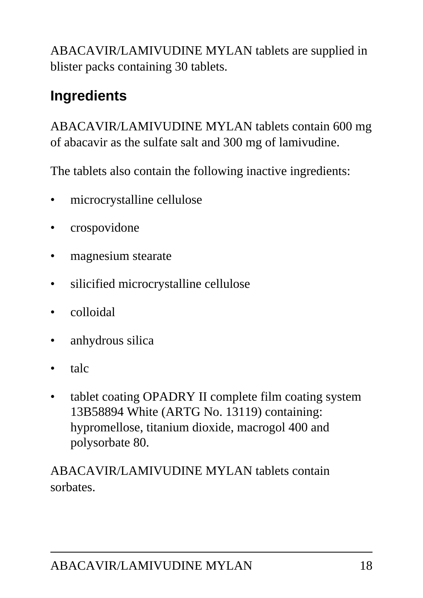ABACAVIR/LAMIVUDINE MYLAN tablets are supplied in blister packs containing 30 tablets.

## **Ingredients**

ABACAVIR/LAMIVUDINE MYLAN tablets contain 600 mg of abacavir as the sulfate salt and 300 mg of lamivudine.

The tablets also contain the following inactive ingredients:

- microcrystalline cellulose
- crospovidone
- magnesium stearate
- silicified microcrystalline cellulose
- colloidal
- anhydrous silica
- talc
- tablet coating OPADRY II complete film coating system 13B58894 White (ARTG No. 13119) containing: hypromellose, titanium dioxide, macrogol 400 and polysorbate 80.

ABACAVIR/LAMIVUDINE MYLAN tablets contain sorbates.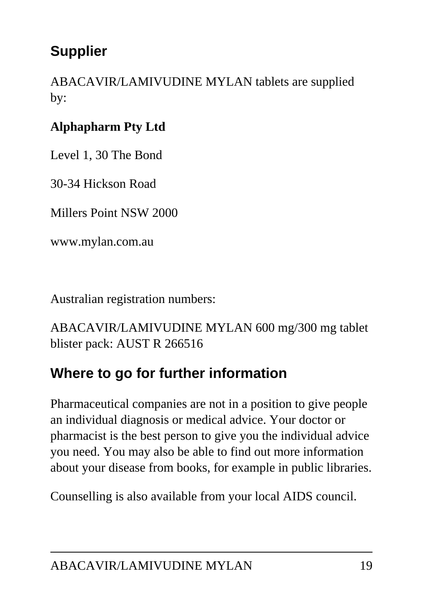### **Supplier**

ABACAVIR/LAMIVUDINE MYLAN tablets are supplied by:

### **Alphapharm Pty Ltd**

Level 1, 30 The Bond

30-34 Hickson Road

Millers Point NSW 2000

www.mylan.com.au

Australian registration numbers:

ABACAVIR/LAMIVUDINE MYLAN 600 mg/300 mg tablet blister pack: AUST R 266516

### **Where to go for further information**

Pharmaceutical companies are not in a position to give people an individual diagnosis or medical advice. Your doctor or pharmacist is the best person to give you the individual advice you need. You may also be able to find out more information about your disease from books, for example in public libraries.

Counselling is also available from your local AIDS council.